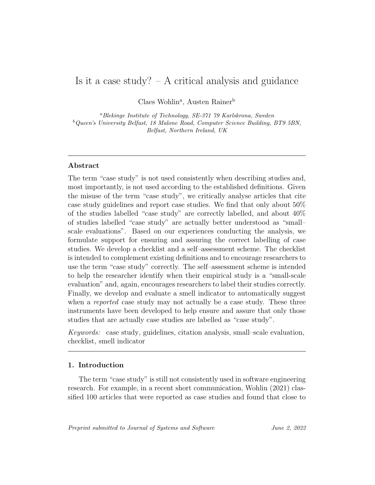# Is it a case study?  $- A$  critical analysis and guidance

Claes Wohlin<sup>a</sup>, Austen Rainer<sup>b</sup>

<sup>a</sup>Blekinge Institute of Technology, SE-371 79 Karlskrona, Sweden  $^{b}$ Queen's University Belfast, 18 Malone Road, Computer Science Building, BT9 5BN, Belfast, Northern Ireland, UK

## Abstract

The term "case study" is not used consistently when describing studies and, most importantly, is not used according to the established definitions. Given the misuse of the term "case study", we critically analyse articles that cite case study guidelines and report case studies. We find that only about 50% of the studies labelled "case study" are correctly labelled, and about 40% of studies labelled "case study" are actually better understood as "small– scale evaluations". Based on our experiences conducting the analysis, we formulate support for ensuring and assuring the correct labelling of case studies. We develop a checklist and a self–assessment scheme. The checklist is intended to complement existing definitions and to encourage researchers to use the term "case study" correctly. The self–assessment scheme is intended to help the researcher identify when their empirical study is a "small-scale evaluation" and, again, encourages researchers to label their studies correctly. Finally, we develop and evaluate a smell indicator to automatically suggest when a reported case study may not actually be a case study. These three instruments have been developed to help ensure and assure that only those studies that are actually case studies are labelled as "case study".

Keywords: case study, guidelines, citation analysis, small–scale evaluation, checklist, smell indicator

## 1. Introduction

The term "case study" is still not consistently used in software engineering research. For example, in a recent short communication, Wohlin (2021) classified 100 articles that were reported as case studies and found that close to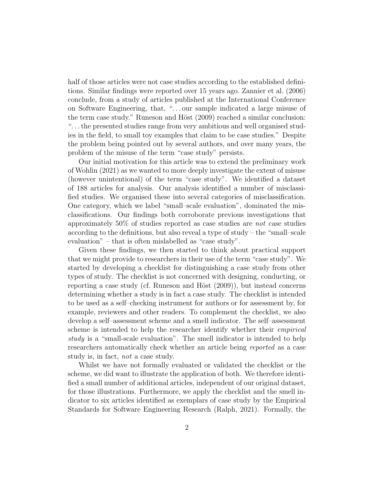half of those articles were not case studies according to the established definitions. Similar findings were reported over 15 years ago. Zannier et al. (2006) conclude, from a study of articles published at the International Conference on Software Engineering, that, ". . . our sample indicated a large misuse of the term case study." Runeson and Höst  $(2009)$  reached a similar conclusion: ". . . the presented studies range from very ambitious and well organised studies in the field, to small toy examples that claim to be case studies." Despite the problem being pointed out by several authors, and over many years, the problem of the misuse of the term "case study" persists.

Our initial motivation for this article was to extend the preliminary work of Wohlin (2021) as we wanted to more deeply investigate the extent of misuse (however unintentional) of the term "case study". We identified a dataset of 188 articles for analysis. Our analysis identified a number of misclassified studies. We organised these into several categories of misclassification. One category, which we label "small–scale evaluation", dominated the misclassifications. Our findings both corroborate previous investigations that approximately 50% of studies reported as case studies are not case studies according to the definitions, but also reveal a type of study – the "small–scale evaluation" – that is often mislabelled as "case study".

Given these findings, we then started to think about practical support that we might provide to researchers in their use of the term "case study". We started by developing a checklist for distinguishing a case study from other types of study. The checklist is not concerned with designing, conducting, or reporting a case study (cf. Runeson and Höst  $(2009)$ ), but instead concerns determining whether a study is in fact a case study. The checklist is intended to be used as a self–checking instrument for authors or for assessment by, for example, reviewers and other readers. To complement the checklist, we also develop a self–assessment scheme and a smell indicator. The self–assessment scheme is intended to help the researcher identify whether their empirical study is a "small-scale evaluation". The smell indicator is intended to help researchers automatically check whether an article being reported as a case study is, in fact, not a case study.

Whilst we have not formally evaluated or validated the checklist or the scheme, we did want to illustrate the application of both. We therefore identified a small number of additional articles, independent of our original dataset, for those illustrations. Furthermore, we apply the checklist and the smell indicator to six articles identified as exemplars of case study by the Empirical Standards for Software Engineering Research (Ralph, 2021). Formally, the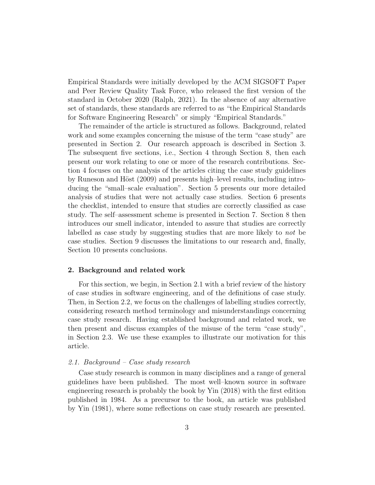Empirical Standards were initially developed by the ACM SIGSOFT Paper and Peer Review Quality Task Force, who released the first version of the standard in October 2020 (Ralph, 2021). In the absence of any alternative set of standards, these standards are referred to as "the Empirical Standards for Software Engineering Research" or simply "Empirical Standards."

The remainder of the article is structured as follows. Background, related work and some examples concerning the misuse of the term "case study" are presented in Section 2. Our research approach is described in Section 3. The subsequent five sections, i.e., Section 4 through Section 8, then each present our work relating to one or more of the research contributions. Section 4 focuses on the analysis of the articles citing the case study guidelines by Runeson and Höst (2009) and presents high–level results, including introducing the "small–scale evaluation". Section 5 presents our more detailed analysis of studies that were not actually case studies. Section 6 presents the checklist, intended to ensure that studies are correctly classified as case study. The self–assessment scheme is presented in Section 7. Section 8 then introduces our smell indicator, intended to assure that studies are correctly labelled as case study by suggesting studies that are more likely to not be case studies. Section 9 discusses the limitations to our research and, finally, Section 10 presents conclusions.

## 2. Background and related work

For this section, we begin, in Section 2.1 with a brief review of the history of case studies in software engineering, and of the definitions of case study. Then, in Section 2.2, we focus on the challenges of labelling studies correctly, considering research method terminology and misunderstandings concerning case study research. Having established background and related work, we then present and discuss examples of the misuse of the term "case study", in Section 2.3. We use these examples to illustrate our motivation for this article.

## 2.1. Background – Case study research

Case study research is common in many disciplines and a range of general guidelines have been published. The most well–known source in software engineering research is probably the book by Yin (2018) with the first edition published in 1984. As a precursor to the book, an article was published by Yin (1981), where some reflections on case study research are presented.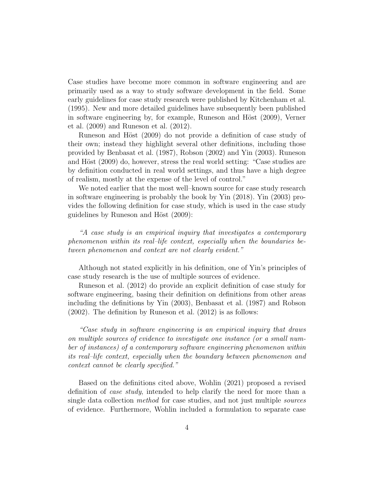Case studies have become more common in software engineering and are primarily used as a way to study software development in the field. Some early guidelines for case study research were published by Kitchenham et al. (1995). New and more detailed guidelines have subsequently been published in software engineering by, for example, Runeson and Höst (2009), Verner et al. (2009) and Runeson et al. (2012).

Runeson and Höst (2009) do not provide a definition of case study of their own; instead they highlight several other definitions, including those provided by Benbasat et al. (1987), Robson (2002) and Yin (2003). Runeson and Höst (2009) do, however, stress the real world setting: "Case studies are by definition conducted in real world settings, and thus have a high degree of realism, mostly at the expense of the level of control."

We noted earlier that the most well–known source for case study research in software engineering is probably the book by Yin (2018). Yin (2003) provides the following definition for case study, which is used in the case study guidelines by Runeson and Höst (2009):

"A case study is an empirical inquiry that investigates a contemporary phenomenon within its real–life context, especially when the boundaries between phenomenon and context are not clearly evident."

Although not stated explicitly in his definition, one of Yin's principles of case study research is the use of multiple sources of evidence.

Runeson et al. (2012) do provide an explicit definition of case study for software engineering, basing their definition on definitions from other areas including the definitions by Yin (2003), Benbasat et al. (1987) and Robson (2002). The definition by Runeson et al. (2012) is as follows:

"Case study in software engineering is an empirical inquiry that draws on multiple sources of evidence to investigate one instance (or a small number of instances) of a contemporary software engineering phenomenon within its real–life context, especially when the boundary between phenomenon and context cannot be clearly specified."

Based on the definitions cited above, Wohlin (2021) proposed a revised definition of case study, intended to help clarify the need for more than a single data collection *method* for case studies, and not just multiple *sources* of evidence. Furthermore, Wohlin included a formulation to separate case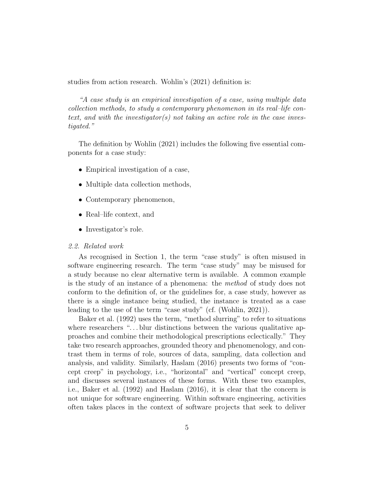studies from action research. Wohlin's (2021) definition is:

"A case study is an empirical investigation of a case, using multiple data collection methods, to study a contemporary phenomenon in its real–life context, and with the investigator(s) not taking an active role in the case investigated."

The definition by Wohlin (2021) includes the following five essential components for a case study:

- Empirical investigation of a case,
- Multiple data collection methods,
- Contemporary phenomenon,
- Real–life context, and
- Investigator's role.

#### 2.2. Related work

As recognised in Section 1, the term "case study" is often misused in software engineering research. The term "case study" may be misused for a study because no clear alternative term is available. A common example is the study of an instance of a phenomena: the method of study does not conform to the definition of, or the guidelines for, a case study, however as there is a single instance being studied, the instance is treated as a case leading to the use of the term "case study" (cf. (Wohlin, 2021)).

Baker et al. (1992) uses the term, "method slurring" to refer to situations where researchers " $\dots$  blur distinctions between the various qualitative approaches and combine their methodological prescriptions eclectically." They take two research approaches, grounded theory and phenomenology, and contrast them in terms of role, sources of data, sampling, data collection and analysis, and validity. Similarly, Haslam (2016) presents two forms of "concept creep" in psychology, i.e., "horizontal" and "vertical" concept creep, and discusses several instances of these forms. With these two examples, i.e., Baker et al. (1992) and Haslam (2016), it is clear that the concern is not unique for software engineering. Within software engineering, activities often takes places in the context of software projects that seek to deliver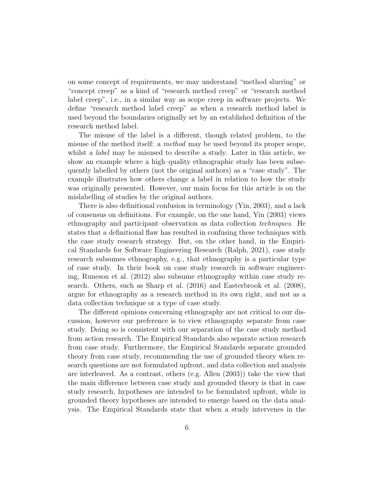on some concept of requirements, we may understand "method slurring" or "concept creep" as a kind of "research method creep" or "research method label creep", i.e., in a similar way as scope creep in software projects. We define "research method label creep" as when a research method label is used beyond the boundaries originally set by an established definition of the research method label.

The misuse of the label is a different, though related problem, to the misuse of the method itself: a *method* may be used beyond its proper scope, whilst a *label* may be misused to describe a study. Later in this article, we show an example where a high–quality ethnographic study has been subsequently labelled by others (not the original authors) as a "case study". The example illustrates how others change a label in relation to how the study was originally presented. However, our main focus for this article is on the mislabelling of studies by the original authors.

There is also definitional confusion in terminology (Yin, 2003), and a lack of consensus on definitions. For example, on the one hand, Yin (2003) views ethnography and participant–observation as data collection techniques. He states that a definitional flaw has resulted in confusing these techniques with the case study research strategy. But, on the other hand, in the Empirical Standards for Software Engineering Research (Ralph, 2021), case study research subsumes ethnography, e.g., that ethnography is a particular type of case study. In their book on case study research in software engineering, Runeson et al. (2012) also subsume ethnography within case study research. Others, such as Sharp et al. (2016) and Easterbrook et al. (2008), argue for ethnography as a research method in its own right, and not as a data collection technique or a type of case study.

The different opinions concerning ethnography are not critical to our discussion, however our preference is to view ethnography separate from case study. Doing so is consistent with our separation of the case study method from action research. The Empirical Standards also separate action research from case study. Furthermore, the Empirical Standards separate grounded theory from case study, recommending the use of grounded theory when research questions are not formulated upfront, and data collection and analysis are interleaved. As a contrast, others (e.g. Allen (2003)) take the view that the main difference between case study and grounded theory is that in case study research, hypotheses are intended to be formulated upfront, while in grounded theory hypotheses are intended to emerge based on the data analysis. The Empirical Standards state that when a study intervenes in the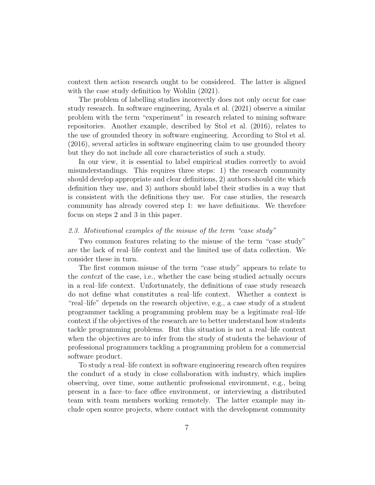context then action research ought to be considered. The latter is aligned with the case study definition by Wohlin (2021).

The problem of labelling studies incorrectly does not only occur for case study research. In software engineering, Ayala et al. (2021) observe a similar problem with the term "experiment" in research related to mining software repositories. Another example, described by Stol et al. (2016), relates to the use of grounded theory in software engineering. According to Stol et al. (2016), several articles in software engineering claim to use grounded theory but they do not include all core characteristics of such a study.

In our view, it is essential to label empirical studies correctly to avoid misunderstandings. This requires three steps: 1) the research community should develop appropriate and clear definitions, 2) authors should cite which definition they use, and 3) authors should label their studies in a way that is consistent with the definitions they use. For case studies, the research community has already covered step 1: we have definitions. We therefore focus on steps 2 and 3 in this paper.

## 2.3. Motivational examples of the misuse of the term "case study"

Two common features relating to the misuse of the term "case study" are the lack of real–life context and the limited use of data collection. We consider these in turn.

The first common misuse of the term "case study" appears to relate to the context of the case, i.e., whether the case being studied actually occurs in a real–life context. Unfortunately, the definitions of case study research do not define what constitutes a real–life context. Whether a context is "real–life" depends on the research objective, e.g., a case study of a student programmer tackling a programming problem may be a legitimate real–life context if the objectives of the research are to better understand how students tackle programming problems. But this situation is not a real–life context when the objectives are to infer from the study of students the behaviour of professional programmers tackling a programming problem for a commercial software product.

To study a real–life context in software engineering research often requires the conduct of a study in close collaboration with industry, which implies observing, over time, some authentic professional environment, e.g., being present in a face–to–face office environment, or interviewing a distributed team with team members working remotely. The latter example may include open source projects, where contact with the development community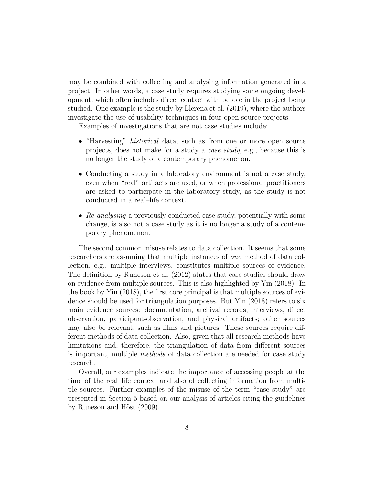may be combined with collecting and analysing information generated in a project. In other words, a case study requires studying some ongoing development, which often includes direct contact with people in the project being studied. One example is the study by Llerena et al. (2019), where the authors investigate the use of usability techniques in four open source projects.

Examples of investigations that are not case studies include:

- "Harvesting" *historical* data, such as from one or more open source projects, does not make for a study a case study, e.g., because this is no longer the study of a contemporary phenomenon.
- Conducting a study in a laboratory environment is not a case study, even when "real" artifacts are used, or when professional practitioners are asked to participate in the laboratory study, as the study is not conducted in a real–life context.
- Re-analysing a previously conducted case study, potentially with some change, is also not a case study as it is no longer a study of a contemporary phenomenon.

The second common misuse relates to data collection. It seems that some researchers are assuming that multiple instances of one method of data collection, e.g., multiple interviews, constitutes multiple sources of evidence. The definition by Runeson et al. (2012) states that case studies should draw on evidence from multiple sources. This is also highlighted by Yin (2018). In the book by Yin (2018), the first core principal is that multiple sources of evidence should be used for triangulation purposes. But Yin (2018) refers to six main evidence sources: documentation, archival records, interviews, direct observation, participant-observation, and physical artifacts; other sources may also be relevant, such as films and pictures. These sources require different methods of data collection. Also, given that all research methods have limitations and, therefore, the triangulation of data from different sources is important, multiple methods of data collection are needed for case study research.

Overall, our examples indicate the importance of accessing people at the time of the real–life context and also of collecting information from multiple sources. Further examples of the misuse of the term "case study" are presented in Section 5 based on our analysis of articles citing the guidelines by Runeson and Höst  $(2009)$ .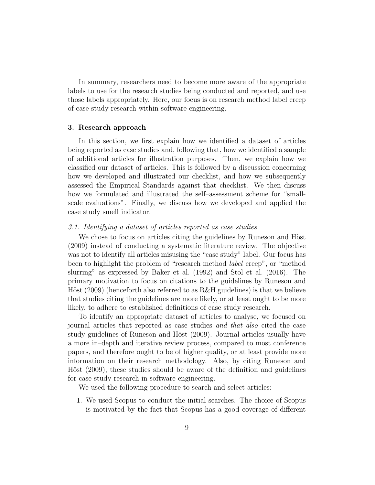In summary, researchers need to become more aware of the appropriate labels to use for the research studies being conducted and reported, and use those labels appropriately. Here, our focus is on research method label creep of case study research within software engineering.

## 3. Research approach

In this section, we first explain how we identified a dataset of articles being reported as case studies and, following that, how we identified a sample of additional articles for illustration purposes. Then, we explain how we classified our dataset of articles. This is followed by a discussion concerning how we developed and illustrated our checklist, and how we subsequently assessed the Empirical Standards against that checklist. We then discuss how we formulated and illustrated the self–assessment scheme for "smallscale evaluations". Finally, we discuss how we developed and applied the case study smell indicator.

#### 3.1. Identifying a dataset of articles reported as case studies

We chose to focus on articles citing the guidelines by Runeson and Höst (2009) instead of conducting a systematic literature review. The objective was not to identify all articles misusing the "case study" label. Our focus has been to highlight the problem of "research method label creep", or "method slurring" as expressed by Baker et al. (1992) and Stol et al. (2016). The primary motivation to focus on citations to the guidelines by Runeson and Höst  $(2009)$  (henceforth also referred to as R&H guidelines) is that we believe that studies citing the guidelines are more likely, or at least ought to be more likely, to adhere to established definitions of case study research.

To identify an appropriate dataset of articles to analyse, we focused on journal articles that reported as case studies and that also cited the case study guidelines of Runeson and Höst (2009). Journal articles usually have a more in–depth and iterative review process, compared to most conference papers, and therefore ought to be of higher quality, or at least provide more information on their research methodology. Also, by citing Runeson and Höst (2009), these studies should be aware of the definition and guidelines for case study research in software engineering.

We used the following procedure to search and select articles:

1. We used Scopus to conduct the initial searches. The choice of Scopus is motivated by the fact that Scopus has a good coverage of different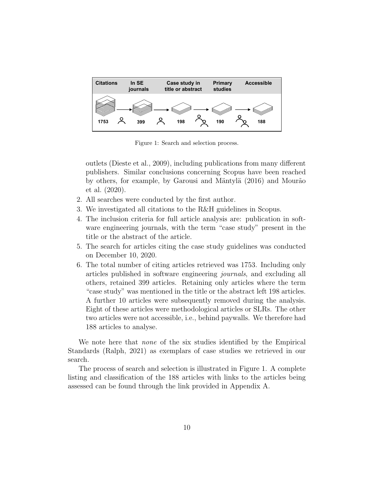

Figure 1: Search and selection process.

outlets (Dieste et al., 2009), including publications from many different publishers. Similar conclusions concerning Scopus have been reached by others, for example, by Garousi and Mäntylä (2016) and Mourão et al. (2020).

- 2. All searches were conducted by the first author.
- 3. We investigated all citations to the R&H guidelines in Scopus.
- 4. The inclusion criteria for full article analysis are: publication in software engineering journals, with the term "case study" present in the title or the abstract of the article.
- 5. The search for articles citing the case study guidelines was conducted on December 10, 2020.
- 6. The total number of citing articles retrieved was 1753. Including only articles published in software engineering journals, and excluding all others, retained 399 articles. Retaining only articles where the term "case study" was mentioned in the title or the abstract left 198 articles. A further 10 articles were subsequently removed during the analysis. Eight of these articles were methodological articles or SLRs. The other two articles were not accessible, i.e., behind paywalls. We therefore had 188 articles to analyse.

We note here that *none* of the six studies identified by the Empirical Standards (Ralph, 2021) as exemplars of case studies we retrieved in our search.

The process of search and selection is illustrated in Figure 1. A complete listing and classification of the 188 articles with links to the articles being assessed can be found through the link provided in Appendix A.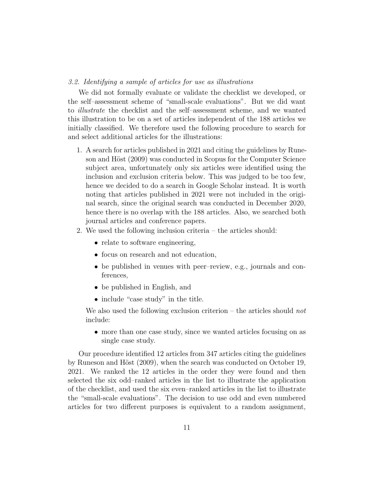#### 3.2. Identifying a sample of articles for use as illustrations

We did not formally evaluate or validate the checklist we developed, or the self–assessment scheme of "small-scale evaluations". But we did want to illustrate the checklist and the self–assessment scheme, and we wanted this illustration to be on a set of articles independent of the 188 articles we initially classified. We therefore used the following procedure to search for and select additional articles for the illustrations:

- 1. A search for articles published in 2021 and citing the guidelines by Runeson and Höst (2009) was conducted in Scopus for the Computer Science subject area, unfortunately only six articles were identified using the inclusion and exclusion criteria below. This was judged to be too few, hence we decided to do a search in Google Scholar instead. It is worth noting that articles published in 2021 were not included in the original search, since the original search was conducted in December 2020, hence there is no overlap with the 188 articles. Also, we searched both journal articles and conference papers.
- 2. We used the following inclusion criteria the articles should:
	- relate to software engineering,
	- focus on research and not education,
	- be published in venues with peer–review, e.g., journals and conferences,
	- be published in English, and
	- include "case study" in the title.

We also used the following exclusion criterion – the articles should *not* include:

• more than one case study, since we wanted articles focusing on as single case study.

Our procedure identified 12 articles from 347 articles citing the guidelines by Runeson and Höst (2009), when the search was conducted on October 19, 2021. We ranked the 12 articles in the order they were found and then selected the six odd–ranked articles in the list to illustrate the application of the checklist, and used the six even–ranked articles in the list to illustrate the "small-scale evaluations". The decision to use odd and even numbered articles for two different purposes is equivalent to a random assignment,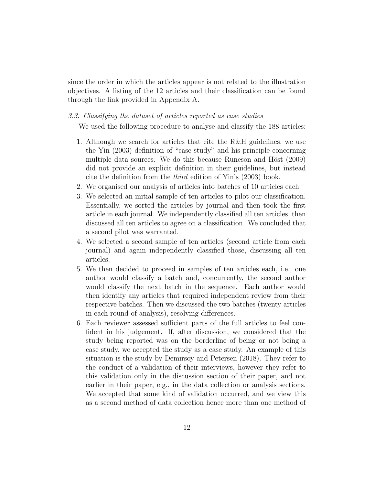since the order in which the articles appear is not related to the illustration objectives. A listing of the 12 articles and their classification can be found through the link provided in Appendix A.

## 3.3. Classifying the dataset of articles reported as case studies

We used the following procedure to analyse and classify the 188 articles:

- 1. Although we search for articles that cite the R&H guidelines, we use the Yin (2003) definition of "case study" and his principle concerning multiple data sources. We do this because Runeson and Höst (2009) did not provide an explicit definition in their guidelines, but instead cite the definition from the third edition of Yin's (2003) book.
- 2. We organised our analysis of articles into batches of 10 articles each.
- 3. We selected an initial sample of ten articles to pilot our classification. Essentially, we sorted the articles by journal and then took the first article in each journal. We independently classified all ten articles, then discussed all ten articles to agree on a classification. We concluded that a second pilot was warranted.
- 4. We selected a second sample of ten articles (second article from each journal) and again independently classified those, discussing all ten articles.
- 5. We then decided to proceed in samples of ten articles each, i.e., one author would classify a batch and, concurrently, the second author would classify the next batch in the sequence. Each author would then identify any articles that required independent review from their respective batches. Then we discussed the two batches (twenty articles in each round of analysis), resolving differences.
- 6. Each reviewer assessed sufficient parts of the full articles to feel confident in his judgement. If, after discussion, we considered that the study being reported was on the borderline of being or not being a case study, we accepted the study as a case study. An example of this situation is the study by Demirsoy and Petersen (2018). They refer to the conduct of a validation of their interviews, however they refer to this validation only in the discussion section of their paper, and not earlier in their paper, e.g., in the data collection or analysis sections. We accepted that some kind of validation occurred, and we view this as a second method of data collection hence more than one method of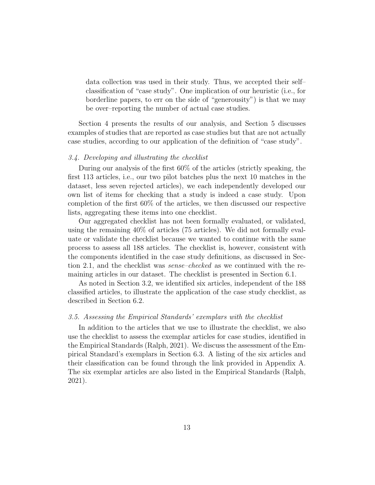data collection was used in their study. Thus, we accepted their self– classification of "case study". One implication of our heuristic (i.e., for borderline papers, to err on the side of "generousity") is that we may be over–reporting the number of actual case studies.

Section 4 presents the results of our analysis, and Section 5 discusses examples of studies that are reported as case studies but that are not actually case studies, according to our application of the definition of "case study".

#### 3.4. Developing and illustrating the checklist

During our analysis of the first 60% of the articles (strictly speaking, the first 113 articles, i.e., our two pilot batches plus the next 10 matches in the dataset, less seven rejected articles), we each independently developed our own list of items for checking that a study is indeed a case study. Upon completion of the first 60% of the articles, we then discussed our respective lists, aggregating these items into one checklist.

Our aggregated checklist has not been formally evaluated, or validated, using the remaining 40% of articles (75 articles). We did not formally evaluate or validate the checklist because we wanted to continue with the same process to assess all 188 articles. The checklist is, however, consistent with the components identified in the case study definitions, as discussed in Section 2.1, and the checklist was *sense–checked* as we continued with the remaining articles in our dataset. The checklist is presented in Section 6.1.

As noted in Section 3.2, we identified six articles, independent of the 188 classified articles, to illustrate the application of the case study checklist, as described in Section 6.2.

## 3.5. Assessing the Empirical Standards' exemplars with the checklist

In addition to the articles that we use to illustrate the checklist, we also use the checklist to assess the exemplar articles for case studies, identified in the Empirical Standards (Ralph, 2021). We discuss the assessment of the Empirical Standard's exemplars in Section 6.3. A listing of the six articles and their classification can be found through the link provided in Appendix A. The six exemplar articles are also listed in the Empirical Standards (Ralph, 2021).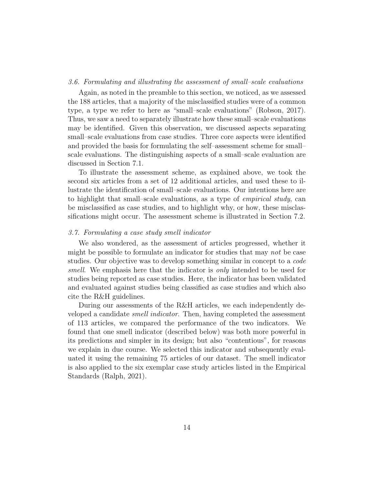#### 3.6. Formulating and illustrating the assessment of small–scale evaluations

Again, as noted in the preamble to this section, we noticed, as we assessed the 188 articles, that a majority of the misclassified studies were of a common type, a type we refer to here as "small–scale evaluations" (Robson, 2017). Thus, we saw a need to separately illustrate how these small–scale evaluations may be identified. Given this observation, we discussed aspects separating small–scale evaluations from case studies. Three core aspects were identified and provided the basis for formulating the self–assessment scheme for small– scale evaluations. The distinguishing aspects of a small–scale evaluation are discussed in Section 7.1.

To illustrate the assessment scheme, as explained above, we took the second six articles from a set of 12 additional articles, and used these to illustrate the identification of small–scale evaluations. Our intentions here are to highlight that small–scale evaluations, as a type of empirical study, can be misclassified as case studies, and to highlight why, or how, these misclassifications might occur. The assessment scheme is illustrated in Section 7.2.

## 3.7. Formulating a case study smell indicator

We also wondered, as the assessment of articles progressed, whether it might be possible to formulate an indicator for studies that may not be case studies. Our objective was to develop something similar in concept to a code smell. We emphasis here that the indicator is *only* intended to be used for studies being reported as case studies. Here, the indicator has been validated and evaluated against studies being classified as case studies and which also cite the R&H guidelines.

During our assessments of the R&H articles, we each independently developed a candidate smell indicator. Then, having completed the assessment of 113 articles, we compared the performance of the two indicators. We found that one smell indicator (described below) was both more powerful in its predictions and simpler in its design; but also "contentious", for reasons we explain in due course. We selected this indicator and subsequently evaluated it using the remaining 75 articles of our dataset. The smell indicator is also applied to the six exemplar case study articles listed in the Empirical Standards (Ralph, 2021).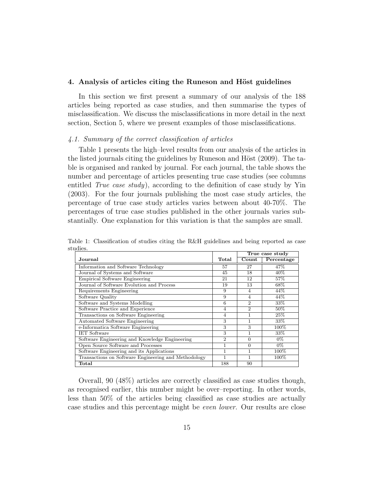#### 4. Analysis of articles citing the Runeson and Höst guidelines

In this section we first present a summary of our analysis of the 188 articles being reported as case studies, and then summarise the types of misclassification. We discuss the misclassifications in more detail in the next section, Section 5, where we present examples of those misclassifications.

## 4.1. Summary of the correct classification of articles

Table 1 presents the high–level results from our analysis of the articles in the listed journals citing the guidelines by Runeson and Höst  $(2009)$ . The table is organised and ranked by journal. For each journal, the table shows the number and percentage of articles presenting true case studies (see columns entitled True case study), according to the definition of case study by Yin (2003). For the four journals publishing the most case study articles, the percentage of true case study articles varies between about 40-70%. The percentages of true case studies published in the other journals varies substantially. One explanation for this variation is that the samples are small.

|                                                      |                | True case study |            |
|------------------------------------------------------|----------------|-----------------|------------|
| Journal                                              | Total          | Count           | Percentage |
| Information and Software Technology                  | 57             | 27              | 47%        |
| Journal of Systems and Software                      | 45             | 18              | $40\%$     |
| Empirical Software Engineering                       | 21             | 12              | 57%        |
| Journal of Software Evolution and Process            | 19             | 13              | 68%        |
| Requirements Engineering                             | 9              | $\overline{4}$  | 44%        |
| Software Quality                                     | 9              | $\overline{4}$  | 44%        |
| Software and Systems Modelling                       | 6              | $\overline{2}$  | 33%        |
| Software Practice and Experience                     | $\overline{4}$ | $\overline{2}$  | $50\%$     |
| Transactions on Software Engineering                 | $\overline{4}$ | 1               | 25%        |
| Automated Software Engineering                       | 3              | 1               | 33%        |
| e-Informatica Software Engineering                   | 3              | 3               | 100\%      |
| <b>IET Software</b>                                  | 3              | 1               | 33%        |
| Software Engineering and Knowledge Engineering       | $\overline{2}$ | $\Omega$        | $0\%$      |
| Open Source Software and Processes                   | 1              | $\Omega$        | $0\%$      |
| Software Engineering and its Applications            | 1              | 1               | 100%       |
| Transactions on Software Engineering and Methodology | 1              | $\mathbf{1}$    | $100\%$    |
| Total                                                | 188            | 90              |            |

Table 1: Classification of studies citing the R&H guidelines and being reported as case studies.

Overall, 90 (48%) articles are correctly classified as case studies though, as recognised earlier, this number might be over–reporting. In other words, less than 50% of the articles being classified as case studies are actually case studies and this percentage might be even lower. Our results are close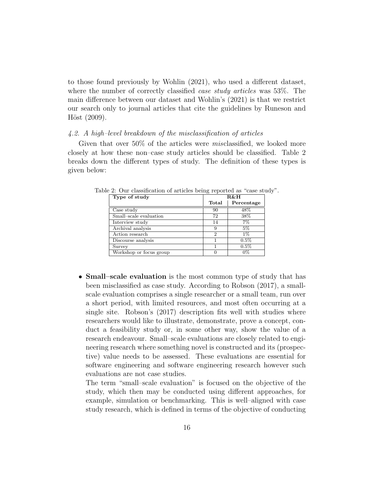to those found previously by Wohlin (2021), who used a different dataset, where the number of correctly classified *case study articles* was 53%. The main difference between our dataset and Wohlin's (2021) is that we restrict our search only to journal articles that cite the guidelines by Runeson and  $H\ddot{o}st$  (2009).

#### 4.2. A high–level breakdown of the misclassification of articles

Given that over 50% of the articles were *misclassified*, we looked more closely at how these non–case study articles should be classified. Table 2 breaks down the different types of study. The definition of these types is given below:

| Type of study           | <b>R&amp;H</b> |            |
|-------------------------|----------------|------------|
|                         | Total          | Percentage |
| Case study              | 90             | 48\%       |
| Small-scale evaluation  | 72             | 38\%       |
| Interview study         | 14             | 7%         |
| Archival analysis       | 9              | $5\%$      |
| Action research         | $\mathcal{D}$  | $1\%$      |
| Discourse analysis      |                | $0.5\%$    |
| Survey                  |                | $0.5\%$    |
| Workshop or focus group |                | $0\%$      |

Table 2: Our classification of articles being reported as "case study".

• **Small–scale evaluation** is the most common type of study that has been misclassified as case study. According to Robson (2017), a smallscale evaluation comprises a single researcher or a small team, run over a short period, with limited resources, and most often occurring at a single site. Robson's (2017) description fits well with studies where researchers would like to illustrate, demonstrate, prove a concept, conduct a feasibility study or, in some other way, show the value of a research endeavour. Small–scale evaluations are closely related to engineering research where something novel is constructed and its (prospective) value needs to be assessed. These evaluations are essential for software engineering and software engineering research however such evaluations are not case studies.

The term "small–scale evaluation" is focused on the objective of the study, which then may be conducted using different approaches, for example, simulation or benchmarking. This is well–aligned with case study research, which is defined in terms of the objective of conducting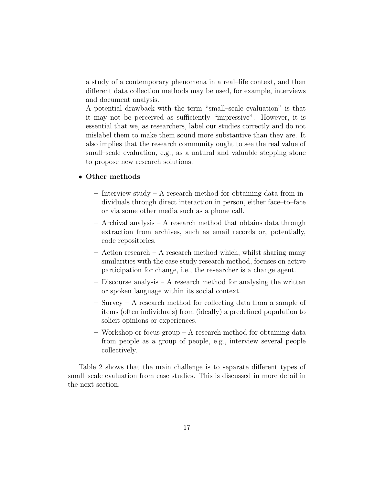a study of a contemporary phenomena in a real–life context, and then different data collection methods may be used, for example, interviews and document analysis.

A potential drawback with the term "small–scale evaluation" is that it may not be perceived as sufficiently "impressive". However, it is essential that we, as researchers, label our studies correctly and do not mislabel them to make them sound more substantive than they are. It also implies that the research community ought to see the real value of small–scale evaluation, e.g., as a natural and valuable stepping stone to propose new research solutions.

## • Other methods

- Interview study A research method for obtaining data from individuals through direct interaction in person, either face–to–face or via some other media such as a phone call.
- Archival analysis A research method that obtains data through extraction from archives, such as email records or, potentially, code repositories.
- Action research A research method which, whilst sharing many similarities with the case study research method, focuses on active participation for change, i.e., the researcher is a change agent.
- Discourse analysis A research method for analysing the written or spoken language within its social context.
- Survey A research method for collecting data from a sample of items (often individuals) from (ideally) a predefined population to solicit opinions or experiences.
- Workshop or focus group A research method for obtaining data from people as a group of people, e.g., interview several people collectively.

Table 2 shows that the main challenge is to separate different types of small–scale evaluation from case studies. This is discussed in more detail in the next section.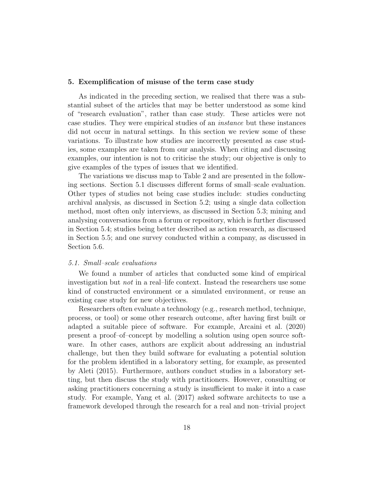#### 5. Exemplification of misuse of the term case study

As indicated in the preceding section, we realised that there was a substantial subset of the articles that may be better understood as some kind of "research evaluation", rather than case study. These articles were not case studies. They were empirical studies of an instance but these instances did not occur in natural settings. In this section we review some of these variations. To illustrate how studies are incorrectly presented as case studies, some examples are taken from our analysis. When citing and discussing examples, our intention is not to criticise the study; our objective is only to give examples of the types of issues that we identified.

The variations we discuss map to Table 2 and are presented in the following sections. Section 5.1 discusses different forms of small–scale evaluation. Other types of studies not being case studies include: studies conducting archival analysis, as discussed in Section 5.2; using a single data collection method, most often only interviews, as discussed in Section 5.3; mining and analysing conversations from a forum or repository, which is further discussed in Section 5.4; studies being better described as action research, as discussed in Section 5.5; and one survey conducted within a company, as discussed in Section 5.6.

## 5.1. Small–scale evaluations

We found a number of articles that conducted some kind of empirical investigation but not in a real–life context. Instead the researchers use some kind of constructed environment or a simulated environment, or reuse an existing case study for new objectives.

Researchers often evaluate a technology (e.g., research method, technique, process, or tool) or some other research outcome, after having first built or adapted a suitable piece of software. For example, Arcaini et al. (2020) present a proof–of–concept by modelling a solution using open source software. In other cases, authors are explicit about addressing an industrial challenge, but then they build software for evaluating a potential solution for the problem identified in a laboratory setting, for example, as presented by Aleti (2015). Furthermore, authors conduct studies in a laboratory setting, but then discuss the study with practitioners. However, consulting or asking practitioners concerning a study is insufficient to make it into a case study. For example, Yang et al. (2017) asked software architects to use a framework developed through the research for a real and non–trivial project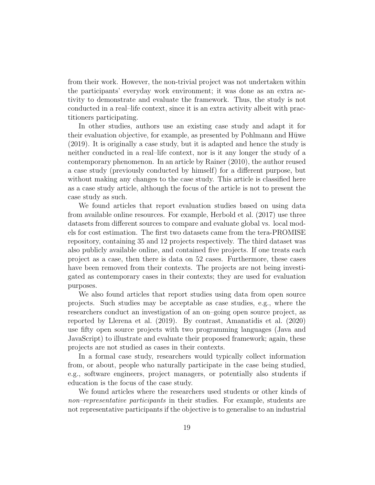from their work. However, the non-trivial project was not undertaken within the participants' everyday work environment; it was done as an extra activity to demonstrate and evaluate the framework. Thus, the study is not conducted in a real–life context, since it is an extra activity albeit with practitioners participating.

In other studies, authors use an existing case study and adapt it for their evaluation objective, for example, as presented by Pohlmann and Hüwe (2019). It is originally a case study, but it is adapted and hence the study is neither conducted in a real–life context, nor is it any longer the study of a contemporary phenomenon. In an article by Rainer (2010), the author reused a case study (previously conducted by himself) for a different purpose, but without making any changes to the case study. This article is classified here as a case study article, although the focus of the article is not to present the case study as such.

We found articles that report evaluation studies based on using data from available online resources. For example, Herbold et al. (2017) use three datasets from different sources to compare and evaluate global vs. local models for cost estimation. The first two datasets came from the tera-PROMISE repository, containing 35 and 12 projects respectively. The third dataset was also publicly available online, and contained five projects. If one treats each project as a case, then there is data on 52 cases. Furthermore, these cases have been removed from their contexts. The projects are not being investigated as contemporary cases in their contexts; they are used for evaluation purposes.

We also found articles that report studies using data from open source projects. Such studies may be acceptable as case studies, e.g., where the researchers conduct an investigation of an on–going open source project, as reported by Llerena et al. (2019). By contrast, Amanatidis et al. (2020) use fifty open source projects with two programming languages (Java and JavaScript) to illustrate and evaluate their proposed framework; again, these projects are not studied as cases in their contexts.

In a formal case study, researchers would typically collect information from, or about, people who naturally participate in the case being studied, e.g., software engineers, project managers, or potentially also students if education is the focus of the case study.

We found articles where the researchers used students or other kinds of non–representative participants in their studies. For example, students are not representative participants if the objective is to generalise to an industrial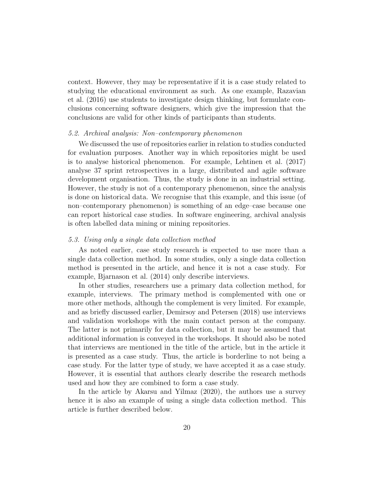context. However, they may be representative if it is a case study related to studying the educational environment as such. As one example, Razavian et al. (2016) use students to investigate design thinking, but formulate conclusions concerning software designers, which give the impression that the conclusions are valid for other kinds of participants than students.

#### 5.2. Archival analysis: Non–contemporary phenomenon

We discussed the use of repositories earlier in relation to studies conducted for evaluation purposes. Another way in which repositories might be used is to analyse historical phenomenon. For example, Lehtinen et al. (2017) analyse 37 sprint retrospectives in a large, distributed and agile software development organisation. Thus, the study is done in an industrial setting. However, the study is not of a contemporary phenomenon, since the analysis is done on historical data. We recognise that this example, and this issue (of non–contemporary phenomenon) is something of an edge–case because one can report historical case studies. In software engineering, archival analysis is often labelled data mining or mining repositories.

## 5.3. Using only a single data collection method

As noted earlier, case study research is expected to use more than a single data collection method. In some studies, only a single data collection method is presented in the article, and hence it is not a case study. For example, Bjarnason et al. (2014) only describe interviews.

In other studies, researchers use a primary data collection method, for example, interviews. The primary method is complemented with one or more other methods, although the complement is very limited. For example, and as briefly discussed earlier, Demirsoy and Petersen (2018) use interviews and validation workshops with the main contact person at the company. The latter is not primarily for data collection, but it may be assumed that additional information is conveyed in the workshops. It should also be noted that interviews are mentioned in the title of the article, but in the article it is presented as a case study. Thus, the article is borderline to not being a case study. For the latter type of study, we have accepted it as a case study. However, it is essential that authors clearly describe the research methods used and how they are combined to form a case study.

In the article by Akarsu and Yilmaz (2020), the authors use a survey hence it is also an example of using a single data collection method. This article is further described below.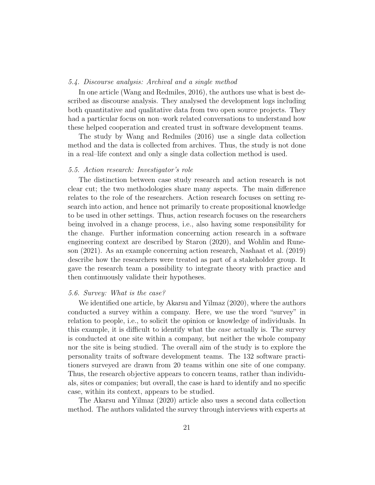#### 5.4. Discourse analysis: Archival and a single method

In one article (Wang and Redmiles, 2016), the authors use what is best described as discourse analysis. They analysed the development logs including both quantitative and qualitative data from two open source projects. They had a particular focus on non–work related conversations to understand how these helped cooperation and created trust in software development teams.

The study by Wang and Redmiles (2016) use a single data collection method and the data is collected from archives. Thus, the study is not done in a real–life context and only a single data collection method is used.

## 5.5. Action research: Investigator's role

The distinction between case study research and action research is not clear cut; the two methodologies share many aspects. The main difference relates to the role of the researchers. Action research focuses on setting research into action, and hence not primarily to create propositional knowledge to be used in other settings. Thus, action research focuses on the researchers being involved in a change process, i.e., also having some responsibility for the change. Further information concerning action research in a software engineering context are described by Staron (2020), and Wohlin and Runeson (2021). As an example concerning action research, Nashaat et al. (2019) describe how the researchers were treated as part of a stakeholder group. It gave the research team a possibility to integrate theory with practice and then continuously validate their hypotheses.

#### 5.6. Survey: What is the case?

We identified one article, by Akarsu and Yilmaz (2020), where the authors conducted a survey within a company. Here, we use the word "survey" in relation to people, i.e., to solicit the opinion or knowledge of individuals. In this example, it is difficult to identify what the case actually is. The survey is conducted at one site within a company, but neither the whole company nor the site is being studied. The overall aim of the study is to explore the personality traits of software development teams. The 132 software practitioners surveyed are drawn from 20 teams within one site of one company. Thus, the research objective appears to concern teams, rather than individuals, sites or companies; but overall, the case is hard to identify and no specific case, within its context, appears to be studied.

The Akarsu and Yilmaz (2020) article also uses a second data collection method. The authors validated the survey through interviews with experts at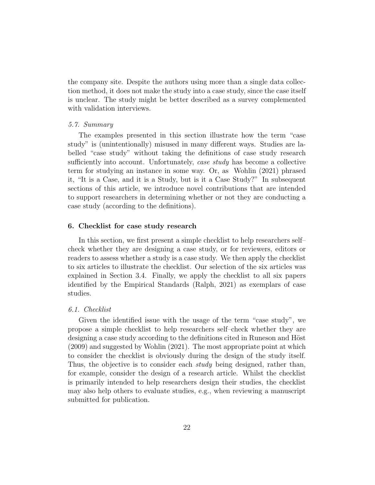the company site. Despite the authors using more than a single data collection method, it does not make the study into a case study, since the case itself is unclear. The study might be better described as a survey complemented with validation interviews.

## 5.7. Summary

The examples presented in this section illustrate how the term "case study" is (unintentionally) misused in many different ways. Studies are labelled "case study" without taking the definitions of case study research sufficiently into account. Unfortunately, *case study* has become a collective term for studying an instance in some way. Or, as Wohlin (2021) phrased it, "It is a Case, and it is a Study, but is it a Case Study?" In subsequent sections of this article, we introduce novel contributions that are intended to support researchers in determining whether or not they are conducting a case study (according to the definitions).

## 6. Checklist for case study research

In this section, we first present a simple checklist to help researchers self– check whether they are designing a case study, or for reviewers, editors or readers to assess whether a study is a case study. We then apply the checklist to six articles to illustrate the checklist. Our selection of the six articles was explained in Section 3.4. Finally, we apply the checklist to all six papers identified by the Empirical Standards (Ralph, 2021) as exemplars of case studies.

#### 6.1. Checklist

Given the identified issue with the usage of the term "case study", we propose a simple checklist to help researchers self–check whether they are designing a case study according to the definitions cited in Runeson and Höst (2009) and suggested by Wohlin (2021). The most appropriate point at which to consider the checklist is obviously during the design of the study itself. Thus, the objective is to consider each *study* being designed, rather than, for example, consider the design of a research article. Whilst the checklist is primarily intended to help researchers design their studies, the checklist may also help others to evaluate studies, e.g., when reviewing a manuscript submitted for publication.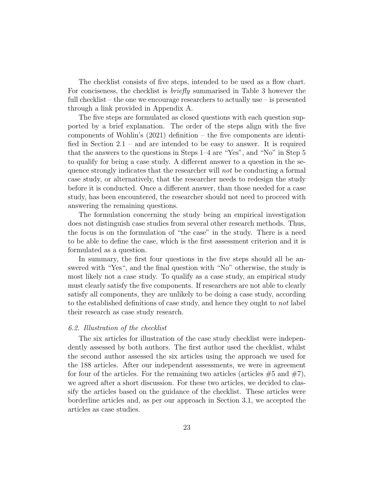The checklist consists of five steps, intended to be used as a flow chart. For conciseness, the checklist is *briefly* summarised in Table 3 however the full checklist – the one we encourage researchers to actually use – is presented through a link provided in Appendix A.

The five steps are formulated as closed questions with each question supported by a brief explanation. The order of the steps align with the five components of Wohlin's (2021) definition – the five components are identified in Section 2.1 – and are intended to be easy to answer. It is required that the answers to the questions in Steps 1–4 are "Yes", and "No" in Step 5 to qualify for being a case study. A different answer to a question in the sequence strongly indicates that the researcher will not be conducting a formal case study, or alternatively, that the researcher needs to redesign the study before it is conducted. Once a different answer, than those needed for a case study, has been encountered, the researcher should not need to proceed with answering the remaining questions.

The formulation concerning the study being an empirical investigation does not distinguish case studies from several other research methods. Thus, the focus is on the formulation of "the case" in the study. There is a need to be able to define the case, which is the first assessment criterion and it is formulated as a question.

In summary, the first four questions in the five steps should all be answered with "Yes", and the final question with "No" otherwise, the study is most likely not a case study. To qualify as a case study, an empirical study must clearly satisfy the five components. If researchers are not able to clearly satisfy all components, they are unlikely to be doing a case study, according to the established definitions of case study, and hence they ought to not label their research as case study research.

#### 6.2. Illustration of the checklist

The six articles for illustration of the case study checklist were independently assessed by both authors. The first author used the checklist, whilst the second author assessed the six articles using the approach we used for the 188 articles. After our independent assessments, we were in agreement for four of the articles. For the remaining two articles (articles  $\#5$  and  $\#7$ ), we agreed after a short discussion. For these two articles, we decided to classify the articles based on the guidance of the checklist. These articles were borderline articles and, as per our approach in Section 3.1, we accepted the articles as case studies.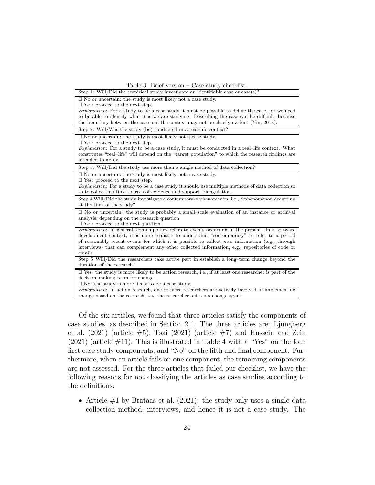| Step 1: Will/Did the empirical study investigate an identifiable case or case(s)?                           |  |  |  |  |
|-------------------------------------------------------------------------------------------------------------|--|--|--|--|
| $\Box$ No or uncertain: the study is most likely not a case study.                                          |  |  |  |  |
| $\Box$ Yes: proceed to the next step.                                                                       |  |  |  |  |
| <i>Explanation</i> : For a study to be a case study it must be possible to define the case, for we need     |  |  |  |  |
| to be able to identify what it is we are studying. Describing the case can be difficult, because            |  |  |  |  |
| the boundary between the case and the context may not be clearly evident (Yin, 2018).                       |  |  |  |  |
| Step 2: Will/Was the study (be) conducted in a real-life context?                                           |  |  |  |  |
| $\Box$ No or uncertain: the study is most likely not a case study.                                          |  |  |  |  |
| $\Box$ Yes: proceed to the next step.                                                                       |  |  |  |  |
| <i>Explanation</i> : For a study to be a case study, it must be conducted in a real-life context. What      |  |  |  |  |
| constitutes "real-life" will depend on the "target population" to which the research findings are           |  |  |  |  |
| intended to apply.                                                                                          |  |  |  |  |
| Step 3: Will/Did the study use more than a single method of data collection?                                |  |  |  |  |
| $\Box$ No or uncertain: the study is most likely not a case study.                                          |  |  |  |  |
| $\Box$ Yes: proceed to the next step.                                                                       |  |  |  |  |
| <i>Explanation</i> : For a study to be a case study it should use multiple methods of data collection so    |  |  |  |  |
| as to collect multiple sources of evidence and support triangulation.                                       |  |  |  |  |
| Step 4 Will/Did the study investigate a contemporary phenomenon, i.e., a phenomenon occurring               |  |  |  |  |
| at the time of the study?                                                                                   |  |  |  |  |
| $\Box$ No or uncertain: the study is probably a small-scale evaluation of an instance or archival           |  |  |  |  |
| analysis, depending on the research question.                                                               |  |  |  |  |
| $\Box$ Yes: proceed to the next question.                                                                   |  |  |  |  |
| <i>Explanation</i> : In general, contemporary refers to events occurring in the present. In a software      |  |  |  |  |
| development context, it is more realistic to understand "contemporary" to refer to a period                 |  |  |  |  |
| of reasonably recent events for which it is possible to collect <i>new</i> information (e.g., through       |  |  |  |  |
| interviews) that can complement any other collected information, e.g., repositories of code or              |  |  |  |  |
| emails.                                                                                                     |  |  |  |  |
| Step 5 Will/Did the researchers take active part in establish a long-term change beyond the                 |  |  |  |  |
| duration of the research?                                                                                   |  |  |  |  |
| $\Box$ Yes: the study is more likely to be action research, i.e., if at least one researcher is part of the |  |  |  |  |
| decision-making team for change.                                                                            |  |  |  |  |
| $\Box$ No: the study is more likely to be a case study.                                                     |  |  |  |  |
| Explanation: In action research, one or more researchers are actively involved in implementing              |  |  |  |  |
| change based on the research, i.e., the researcher acts as a change agent.                                  |  |  |  |  |

Of the six articles, we found that three articles satisfy the components of case studies, as described in Section 2.1. The three articles are: Ljungberg et al.  $(2021)$  (article  $#5$ ), Tsai  $(2021)$  (article  $#7$ ) and Hussein and Zein  $(2021)$  (article  $\#11$ ). This is illustrated in Table 4 with a "Yes" on the four first case study components, and "No" on the fifth and final component. Furthermore, when an article fails on one component, the remaining components are not assessed. For the three articles that failed our checklist, we have the following reasons for not classifying the articles as case studies according to the definitions:

• Article  $#1$  by Brataas et al. (2021): the study only uses a single data collection method, interviews, and hence it is not a case study. The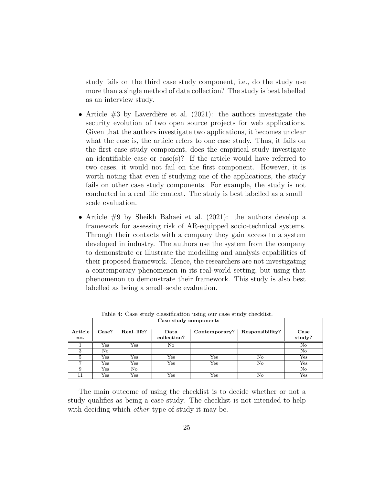study fails on the third case study component, i.e., do the study use more than a single method of data collection? The study is best labelled as an interview study.

- Article  $#3$  by Laverdière et al. (2021): the authors investigate the security evolution of two open source projects for web applications. Given that the authors investigate two applications, it becomes unclear what the case is, the article refers to one case study. Thus, it fails on the first case study component, does the empirical study investigate an identifiable case or case(s)? If the article would have referred to two cases, it would not fail on the first component. However, it is worth noting that even if studying one of the applications, the study fails on other case study components. For example, the study is not conducted in a real–life context. The study is best labelled as a small– scale evaluation.
- Article #9 by Sheikh Bahaei et al. (2021): the authors develop a framework for assessing risk of AR-equipped socio-technical systems. Through their contacts with a company they gain access to a system developed in industry. The authors use the system from the company to demonstrate or illustrate the modelling and analysis capabilities of their proposed framework. Hence, the researchers are not investigating a contemporary phenomenon in its real-world setting, but using that phenomenon to demonstrate their framework. This study is also best labelled as being a small–scale evaluation.

|                | Case study components |              |                     |               |                 |                |
|----------------|-----------------------|--------------|---------------------|---------------|-----------------|----------------|
| Article<br>no. | Case?                 | Real-life?   | Data<br>collection? | Contemporary? | Responsibility? | Case<br>study? |
|                | Yes                   | $_{\rm Yes}$ | No                  |               |                 | No             |
| 3              | No.                   |              |                     |               |                 | No             |
| 5              | Yes                   | Yes          | $_{\rm Yes}$        | Yes           | No              | Yes            |
|                | Yes                   | Yes          | $_{\rm Yes}$        | $_{\rm Yes}$  | No              | $_{\rm Yes}$   |
|                | $_{\rm Yes}$          | No           |                     |               |                 | No             |
| 11             | Yes                   | Yes          | $_{\rm Yes}$        | Yes           | No              | Yes            |

Table 4: Case study classification using our case study checklist.

The main outcome of using the checklist is to decide whether or not a study qualifies as being a case study. The checklist is not intended to help with deciding which *other* type of study it may be.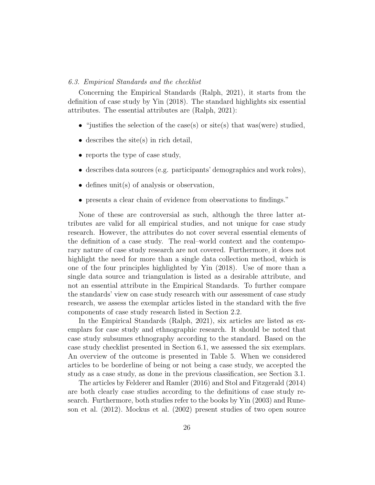#### 6.3. Empirical Standards and the checklist

Concerning the Empirical Standards (Ralph, 2021), it starts from the definition of case study by Yin (2018). The standard highlights six essential attributes. The essential attributes are (Ralph, 2021):

- "justifies the selection of the case(s) or site(s) that was(were) studied,
- describes the site(s) in rich detail,
- reports the type of case study,
- describes data sources (e.g. participants' demographics and work roles),
- defines unit(s) of analysis or observation,
- presents a clear chain of evidence from observations to findings."

None of these are controversial as such, although the three latter attributes are valid for all empirical studies, and not unique for case study research. However, the attributes do not cover several essential elements of the definition of a case study. The real–world context and the contemporary nature of case study research are not covered. Furthermore, it does not highlight the need for more than a single data collection method, which is one of the four principles highlighted by Yin (2018). Use of more than a single data source and triangulation is listed as a desirable attribute, and not an essential attribute in the Empirical Standards. To further compare the standards' view on case study research with our assessment of case study research, we assess the exemplar articles listed in the standard with the five components of case study research listed in Section 2.2.

In the Empirical Standards (Ralph, 2021), six articles are listed as exemplars for case study and ethnographic research. It should be noted that case study subsumes ethnography according to the standard. Based on the case study checklist presented in Section 6.1, we assessed the six exemplars. An overview of the outcome is presented in Table 5. When we considered articles to be borderline of being or not being a case study, we accepted the study as a case study, as done in the previous classification, see Section 3.1.

The articles by Felderer and Ramler (2016) and Stol and Fitzgerald (2014) are both clearly case studies according to the definitions of case study research. Furthermore, both studies refer to the books by Yin (2003) and Runeson et al. (2012). Mockus et al. (2002) present studies of two open source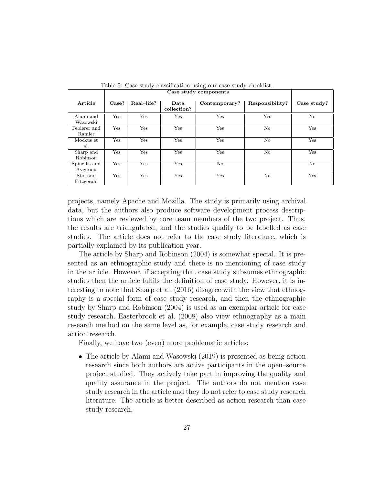|               | Case study components |            |                     |               |                 |             |
|---------------|-----------------------|------------|---------------------|---------------|-----------------|-------------|
| Article       | Case?                 | Real-life? | Data<br>collection? | Contemporary? | Responsibility? | Case study? |
| Alami and     | Yes                   | Yes        | Yes                 | Yes           | Yes             | No          |
| Wasowski      |                       |            |                     |               |                 |             |
| Felderer and  | Yes                   | Yes        | Yes                 | Yes           | $\rm No$        | Yes         |
| Ramler        |                       |            |                     |               |                 |             |
| Mockus et     | Yes                   | Yes        | Yes                 | Yes           | $\rm No$        | Yes         |
| al.           |                       |            |                     |               |                 |             |
| Sharp and     | Yes                   | Yes        | Yes                 | Yes           | $\rm No$        | Yes         |
| Robinson      |                       |            |                     |               |                 |             |
| Spinellis and | Yes                   | Yes        | Yes                 | No            |                 | No          |
| Avgeriou      |                       |            |                     |               |                 |             |
| Stol and      | Yes                   | Yes        | Yes                 | Yes           | $\rm No$        | Yes         |
| Fitzgerald    |                       |            |                     |               |                 |             |

Table 5: Case study classification using our case study checklist.

projects, namely Apache and Mozilla. The study is primarily using archival data, but the authors also produce software development process descriptions which are reviewed by core team members of the two project. Thus, the results are triangulated, and the studies qualify to be labelled as case studies. The article does not refer to the case study literature, which is partially explained by its publication year.

The article by Sharp and Robinson (2004) is somewhat special. It is presented as an ethnographic study and there is no mentioning of case study in the article. However, if accepting that case study subsumes ethnographic studies then the article fulfils the definition of case study. However, it is interesting to note that Sharp et al. (2016) disagree with the view that ethnography is a special form of case study research, and then the ethnographic study by Sharp and Robinson (2004) is used as an exemplar article for case study research. Easterbrook et al. (2008) also view ethnography as a main research method on the same level as, for example, case study research and action research.

Finally, we have two (even) more problematic articles:

• The article by Alami and Wasowski (2019) is presented as being action research since both authors are active participants in the open–source project studied. They actively take part in improving the quality and quality assurance in the project. The authors do not mention case study research in the article and they do not refer to case study research literature. The article is better described as action research than case study research.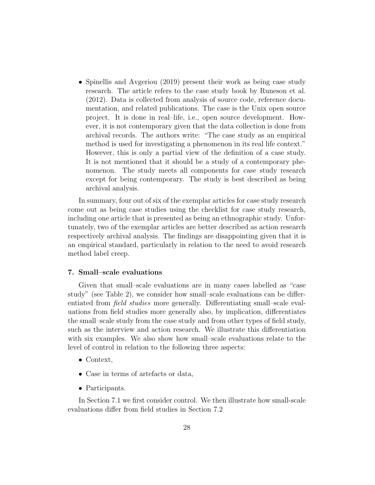• Spinellis and Avgeriou (2019) present their work as being case study research. The article refers to the case study book by Runeson et al. (2012). Data is collected from analysis of source code, reference documentation, and related publications. The case is the Unix open source project. It is done in real–life, i.e., open source development. However, it is not contemporary given that the data collection is done from archival records. The authors write: "The case study as an empirical method is used for investigating a phenomenon in its real life context." However, this is only a partial view of the definition of a case study. It is not mentioned that it should be a study of a contemporary phenomenon. The study meets all components for case study research except for being contemporary. The study is best described as being archival analysis.

In summary, four out of six of the exemplar articles for case study research come out as being case studies using the checklist for case study research, including one article that is presented as being an ethnographic study. Unfortunately, two of the exemplar articles are better described as action research respectively archival analysis. The findings are disappointing given that it is an empirical standard, particularly in relation to the need to avoid research method label creep.

## 7. Small–scale evaluations

Given that small–scale evaluations are in many cases labelled as "case study" (see Table 2), we consider how small–scale evaluations can be differentiated from field studies more generally. Differentiating small–scale evaluations from field studies more generally also, by implication, differentiates the small–scale study from the case study and from other types of field study, such as the interview and action research. We illustrate this differentiation with six examples. We also show how small–scale evaluations relate to the level of control in relation to the following three aspects:

- Context,
- Case in terms of artefacts or data,
- Participants.

In Section 7.1 we first consider control. We then illustrate how small-scale evaluations differ from field studies in Section 7.2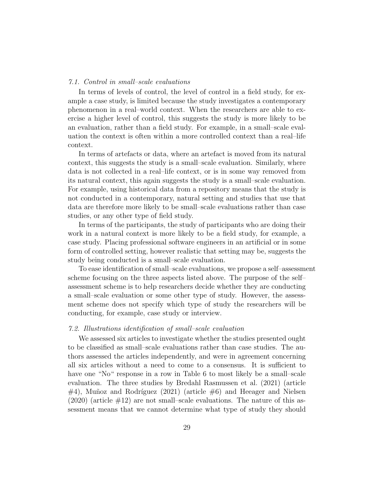#### 7.1. Control in small–scale evaluations

In terms of levels of control, the level of control in a field study, for example a case study, is limited because the study investigates a contemporary phenomenon in a real–world context. When the researchers are able to exercise a higher level of control, this suggests the study is more likely to be an evaluation, rather than a field study. For example, in a small–scale evaluation the context is often within a more controlled context than a real–life context.

In terms of artefacts or data, where an artefact is moved from its natural context, this suggests the study is a small–scale evaluation. Similarly, where data is not collected in a real–life context, or is in some way removed from its natural context, this again suggests the study is a small–scale evaluation. For example, using historical data from a repository means that the study is not conducted in a contemporary, natural setting and studies that use that data are therefore more likely to be small–scale evaluations rather than case studies, or any other type of field study.

In terms of the participants, the study of participants who are doing their work in a natural context is more likely to be a field study, for example, a case study. Placing professional software engineers in an artificial or in some form of controlled setting, however realistic that setting may be, suggests the study being conducted is a small–scale evaluation.

To ease identification of small–scale evaluations, we propose a self–assessment scheme focusing on the three aspects listed above. The purpose of the self– assessment scheme is to help researchers decide whether they are conducting a small–scale evaluation or some other type of study. However, the assessment scheme does not specify which type of study the researchers will be conducting, for example, case study or interview.

#### 7.2. Illustrations identification of small–scale evaluation

We assessed six articles to investigate whether the studies presented ought to be classified as small–scale evaluations rather than case studies. The authors assessed the articles independently, and were in agreement concerning all six articles without a need to come to a consensus. It is sufficient to have one "No" response in a row in Table 6 to most likely be a small-scale evaluation. The three studies by Bredahl Rasmussen et al. (2021) (article  $\#4$ ), Muñoz and Rodríguez (2021) (article  $\#6$ ) and Heeager and Nielsen  $(2020)$  (article  $\#12$ ) are not small–scale evaluations. The nature of this assessment means that we cannot determine what type of study they should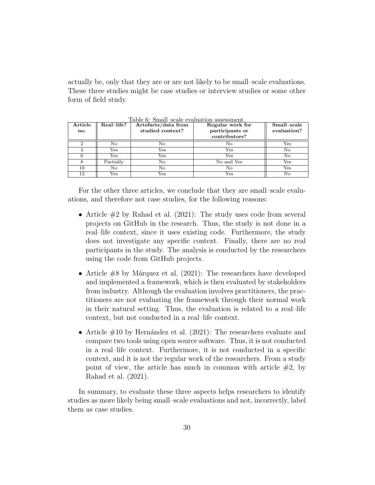actually be, only that they are or are not likely to be small–scale evaluations. These three studies might be case studies or interview studies or some other form of field study.

| Article | Real-life? | Artefacts/data from | Regular work for | Small-scale |
|---------|------------|---------------------|------------------|-------------|
| no.     |            | studied context?    | participants or  | evaluation? |
|         |            |                     | contributors?    |             |
|         | No         | No                  | No               | Yes         |
|         | Yes        | $_{\rm Yes}$        | Yes              | No          |
|         | Yes        | Yes                 | $_{\rm Yes}$     | No          |
|         | Partially  | No                  | No and Yes       | Yes         |
| 10      | No         | No                  | No               | Yes         |
| 12      | Yes        | $_{\rm Yes}$        | $_{\rm Yes}$     | No          |

Table 6: Small–scale evaluation assessment.

For the other three articles, we conclude that they are small–scale evaluations, and therefore not case studies, for the following reasons:

- Article  $\#2$  by Rahad et al. (2021): The study uses code from several projects on GitHub in the research. Thus, the study is not done in a real–life context, since it uses existing code. Furthermore, the study does not investigate any specific context. Finally, there are no real participants in the study. The analysis is conducted by the researchers using the code from GitHub projects.
- Article  $#8$  by Márquez et al. (2021): The researchers have developed and implemented a framework, which is then evaluated by stakeholders from industry. Although the evaluation involves practitioners, the practitioners are not evaluating the framework through their normal work in their natural setting. Thus, the evaluation is related to a real–life context, but not conducted in a real–life context.
- Article  $\#10$  by Hernández et al. (2021): The researchers evaluate and compare two tools using open source software. Thus, it is not conducted in a real–life context. Furthermore, it is not conducted in a specific context, and it is not the regular work of the researchers. From a study point of view, the article has much in common with article  $#2$ , by Rahad et al. (2021).

In summary, to evaluate these three aspects helps researchers to identify studies as more likely being small–scale evaluations and not, incorrectly, label them as case studies.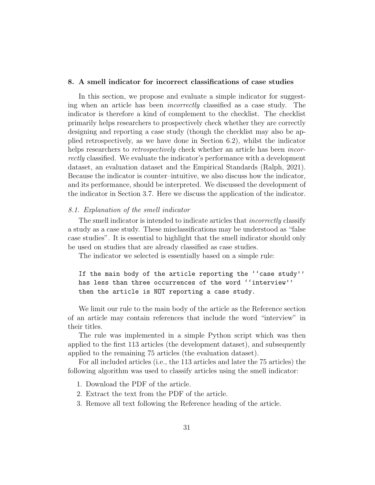#### 8. A smell indicator for incorrect classifications of case studies

In this section, we propose and evaluate a simple indicator for suggesting when an article has been *incorrectly* classified as a case study. The indicator is therefore a kind of complement to the checklist. The checklist primarily helps researchers to prospectively check whether they are correctly designing and reporting a case study (though the checklist may also be applied retrospectively, as we have done in Section 6.2), whilst the indicator helps researchers to *retrospectively* check whether an article has been *incor*rectly classified. We evaluate the indicator's performance with a development dataset, an evaluation dataset and the Empirical Standards (Ralph, 2021). Because the indicator is counter–intuitive, we also discuss how the indicator, and its performance, should be interpreted. We discussed the development of the indicator in Section 3.7. Here we discuss the application of the indicator.

#### 8.1. Explanation of the smell indicator

The smell indicator is intended to indicate articles that *incorrectly* classify a study as a case study. These misclassifications may be understood as "false case studies". It is essential to highlight that the smell indicator should only be used on studies that are already classified as case studies.

The indicator we selected is essentially based on a simple rule:

If the main body of the article reporting the ''case study'' has less than three occurrences of the word ''interview'' then the article is NOT reporting a case study.

We limit our rule to the main body of the article as the Reference section of an article may contain references that include the word "interview" in their titles.

The rule was implemented in a simple Python script which was then applied to the first 113 articles (the development dataset), and subsequently applied to the remaining 75 articles (the evaluation dataset).

For all included articles (i.e., the 113 articles and later the 75 articles) the following algorithm was used to classify articles using the smell indicator:

- 1. Download the PDF of the article.
- 2. Extract the text from the PDF of the article.
- 3. Remove all text following the Reference heading of the article.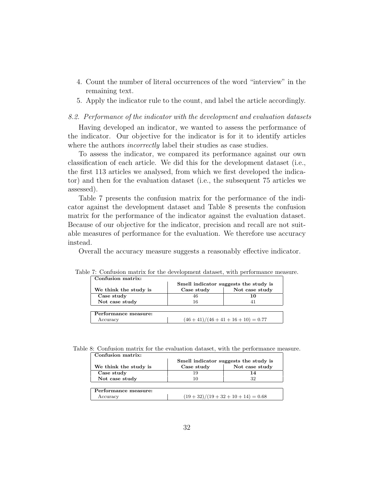- 4. Count the number of literal occurrences of the word "interview" in the remaining text.
- 5. Apply the indicator rule to the count, and label the article accordingly.

#### 8.2. Performance of the indicator with the development and evaluation datasets

Having developed an indicator, we wanted to assess the performance of the indicator. Our objective for the indicator is for it to identify articles where the authors *incorrectly* label their studies as case studies.

To assess the indicator, we compared its performance against our own classification of each article. We did this for the development dataset (i.e., the first 113 articles we analysed, from which we first developed the indicator) and then for the evaluation dataset (i.e., the subsequent 75 articles we assessed).

Table 7 presents the confusion matrix for the performance of the indicator against the development dataset and Table 8 presents the confusion matrix for the performance of the indicator against the evaluation dataset. Because of our objective for the indicator, precision and recall are not suitable measures of performance for the evaluation. We therefore use accuracy instead.

Overall the accuracy measure suggests a reasonably effective indicator.

|                       | Smell indicator suggests the study is |                |  |
|-----------------------|---------------------------------------|----------------|--|
| We think the study is | Case study                            | Not case study |  |
| Case study            | 46                                    |                |  |
| Not case study        |                                       |                |  |
|                       |                                       |                |  |
| Performance measure:  |                                       |                |  |
| Accuracy              | $(46+41)/(46+41+16+10) = 0.77$        |                |  |

Table 7: Confusion matrix for the development dataset, with performance measure.

Table 8: Confusion matrix for the evaluation dataset, with the performance measure.

| Confusion matrix:     |                                       |                |  |  |
|-----------------------|---------------------------------------|----------------|--|--|
|                       | Smell indicator suggests the study is |                |  |  |
| We think the study is | Case study                            | Not case study |  |  |
| Case study            | 19                                    | 14             |  |  |
| Not case study        | 10                                    | 32             |  |  |
|                       |                                       |                |  |  |
| Performance measure:  |                                       |                |  |  |
| Accuracy              | $(19+32)/(19+32+10+14) = 0.68$        |                |  |  |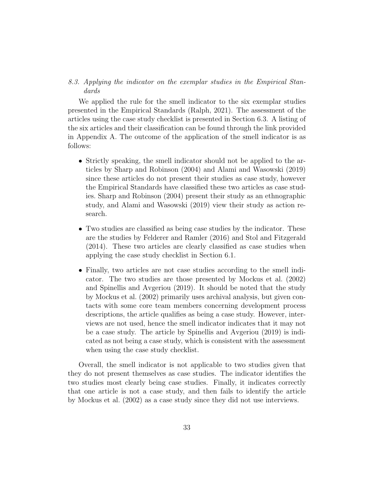## 8.3. Applying the indicator on the exemplar studies in the Empirical Standards

We applied the rule for the smell indicator to the six exemplar studies presented in the Empirical Standards (Ralph, 2021). The assessment of the articles using the case study checklist is presented in Section 6.3. A listing of the six articles and their classification can be found through the link provided in Appendix A. The outcome of the application of the smell indicator is as follows:

- Strictly speaking, the smell indicator should not be applied to the articles by Sharp and Robinson (2004) and Alami and Wasowski (2019) since these articles do not present their studies as case study, however the Empirical Standards have classified these two articles as case studies. Sharp and Robinson (2004) present their study as an ethnographic study, and Alami and Wasowski (2019) view their study as action research.
- Two studies are classified as being case studies by the indicator. These are the studies by Felderer and Ramler (2016) and Stol and Fitzgerald (2014). These two articles are clearly classified as case studies when applying the case study checklist in Section 6.1.
- Finally, two articles are not case studies according to the smell indicator. The two studies are those presented by Mockus et al. (2002) and Spinellis and Avgeriou (2019). It should be noted that the study by Mockus et al. (2002) primarily uses archival analysis, but given contacts with some core team members concerning development process descriptions, the article qualifies as being a case study. However, interviews are not used, hence the smell indicator indicates that it may not be a case study. The article by Spinellis and Avgeriou (2019) is indicated as not being a case study, which is consistent with the assessment when using the case study checklist.

Overall, the smell indicator is not applicable to two studies given that they do not present themselves as case studies. The indicator identifies the two studies most clearly being case studies. Finally, it indicates correctly that one article is not a case study, and then fails to identify the article by Mockus et al. (2002) as a case study since they did not use interviews.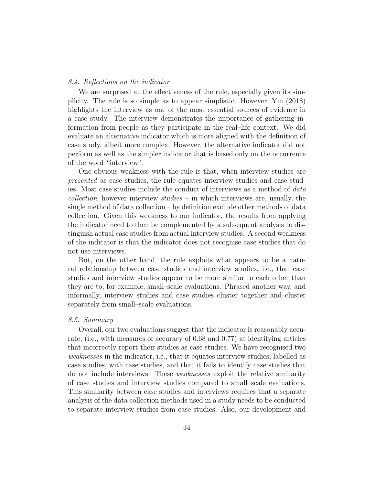#### 8.4. Reflections on the indicator

We are surprised at the effectiveness of the rule, especially given its simplicity. The rule is so simple as to appear simplistic. However, Yin (2018) highlights the interview as one of the most essential sources of evidence in a case study. The interview demonstrates the importance of gathering information from people as they participate in the real–life context. We did evaluate an alternative indicator which is more aligned with the definition of case study, albeit more complex. However, the alternative indicator did not perform as well as the simpler indicator that is based only on the occurrence of the word "interview".

One obvious weakness with the rule is that, when interview studies are presented as case studies, the rule equates interview studies and case studies. Most case studies include the conduct of interviews as a method of data *collection*, however interview  $studies$  – in which interviews are, usually, the single method of data collection – by definition exclude other methods of data collection. Given this weakness to our indicator, the results from applying the indicator need to then be complemented by a subsequent analysis to distinguish actual case studies from actual interview studies. A second weakness of the indicator is that the indicator does not recognise case studies that do not use interviews.

But, on the other hand, the rule exploits what appears to be a natural relationship between case studies and interview studies, i.e., that case studies and interview studies appear to be more similar to each other than they are to, for example, small–scale evaluations. Phrased another way, and informally, interview studies and case studies cluster together and cluster separately from small–scale evaluations.

## 8.5. Summary

Overall, our two evaluations suggest that the indicator is reasonably accurate, (i.e., with measures of accuracy of 0.68 and 0.77) at identifying articles that incorrectly report their studies as case studies. We have recognised two weaknesses in the indicator, i.e., that it equates interview studies, labelled as case studies, with case studies, and that it fails to identify case studies that do not include interviews. These weaknesses exploit the relative similarity of case studies and interview studies compared to small–scale evaluations. This similarity between case studies and interviews requires that a separate analysis of the data collection methods used in a study needs to be conducted to separate interview studies from case studies. Also, our development and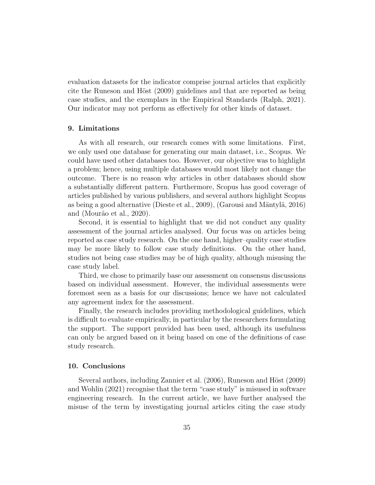evaluation datasets for the indicator comprise journal articles that explicitly cite the Runeson and Höst (2009) guidelines and that are reported as being case studies, and the exemplars in the Empirical Standards (Ralph, 2021). Our indicator may not perform as effectively for other kinds of dataset.

#### 9. Limitations

As with all research, our research comes with some limitations. First, we only used one database for generating our main dataset, i.e., Scopus. We could have used other databases too. However, our objective was to highlight a problem; hence, using multiple databases would most likely not change the outcome. There is no reason why articles in other databases should show a substantially different pattern. Furthermore, Scopus has good coverage of articles published by various publishers, and several authors highlight Scopus as being a good alternative (Dieste et al., 2009), (Garousi and Mäntylä, 2016) and (Mourão et al., 2020).

Second, it is essential to highlight that we did not conduct any quality assessment of the journal articles analysed. Our focus was on articles being reported as case study research. On the one hand, higher–quality case studies may be more likely to follow case study definitions. On the other hand, studies not being case studies may be of high quality, although misusing the case study label.

Third, we chose to primarily base our assessment on consensus discussions based on individual assessment. However, the individual assessments were foremost seen as a basis for our discussions; hence we have not calculated any agreement index for the assessment.

Finally, the research includes providing methodological guidelines, which is difficult to evaluate empirically, in particular by the researchers formulating the support. The support provided has been used, although its usefulness can only be argued based on it being based on one of the definitions of case study research.

#### 10. Conclusions

Several authors, including Zannier et al. (2006), Runeson and Höst (2009) and Wohlin (2021) recognise that the term "case study" is misused in software engineering research. In the current article, we have further analysed the misuse of the term by investigating journal articles citing the case study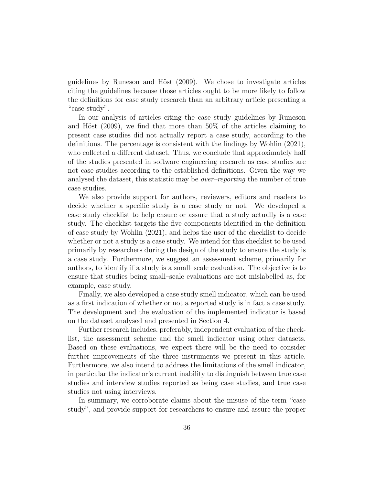guidelines by Runeson and Höst  $(2009)$ . We chose to investigate articles citing the guidelines because those articles ought to be more likely to follow the definitions for case study research than an arbitrary article presenting a "case study".

In our analysis of articles citing the case study guidelines by Runeson and Höst (2009), we find that more than  $50\%$  of the articles claiming to present case studies did not actually report a case study, according to the definitions. The percentage is consistent with the findings by Wohlin (2021), who collected a different dataset. Thus, we conclude that approximately half of the studies presented in software engineering research as case studies are not case studies according to the established definitions. Given the way we analysed the dataset, this statistic may be over–reporting the number of true case studies.

We also provide support for authors, reviewers, editors and readers to decide whether a specific study is a case study or not. We developed a case study checklist to help ensure or assure that a study actually is a case study. The checklist targets the five components identified in the definition of case study by Wohlin (2021), and helps the user of the checklist to decide whether or not a study is a case study. We intend for this checklist to be used primarily by researchers during the design of the study to ensure the study is a case study. Furthermore, we suggest an assessment scheme, primarily for authors, to identify if a study is a small–scale evaluation. The objective is to ensure that studies being small–scale evaluations are not mislabelled as, for example, case study.

Finally, we also developed a case study smell indicator, which can be used as a first indication of whether or not a reported study is in fact a case study. The development and the evaluation of the implemented indicator is based on the dataset analysed and presented in Section 4.

Further research includes, preferably, independent evaluation of the checklist, the assessment scheme and the smell indicator using other datasets. Based on these evaluations, we expect there will be the need to consider further improvements of the three instruments we present in this article. Furthermore, we also intend to address the limitations of the smell indicator, in particular the indicator's current inability to distinguish between true case studies and interview studies reported as being case studies, and true case studies not using interviews.

In summary, we corroborate claims about the misuse of the term "case study", and provide support for researchers to ensure and assure the proper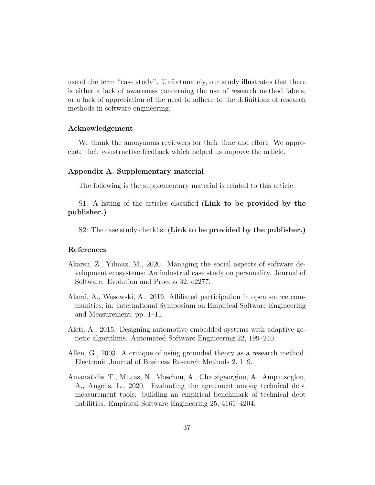use of the term "case study". Unfortunately, our study illustrates that there is either a lack of awareness concerning the use of research method labels, or a lack of appreciation of the need to adhere to the definitions of research methods in software engineering.

#### Acknowledgement

We thank the anonymous reviewers for their time and effort. We appreciate their constructive feedback which helped us improve the article.

## Appendix A. Supplementary material

The following is the supplementary material is related to this article.

S1: A listing of the articles classified (Link to be provided by the publisher.)

S2: The case study checklist (Link to be provided by the publisher.)

## References

- Akarsu, Z., Yilmaz, M., 2020. Managing the social aspects of software development ecosystems: An industrial case study on personality. Journal of Software: Evolution and Process 32, e2277.
- Alami, A., Wasowski, A., 2019. Affiliated participation in open source communities, in: International Symposium on Empirical Software Engineering and Measurement, pp. 1–11.
- Aleti, A., 2015. Designing automotive embedded systems with adaptive genetic algorithms. Automated Software Engineering 22, 199–240.
- Allen, G., 2003. A critique of using grounded theory as a research method. Electronic Journal of Business Research Methods 2, 1–9.
- Amanatidis, T., Mittas, N., Moschou, A., Chatzigeorgiou, A., Ampatzoglou, A., Angelis, L., 2020. Evaluating the agreement among technical debt measurement tools: building an empirical benchmark of technical debt liabilities. Empirical Software Engineering 25, 4161–4204.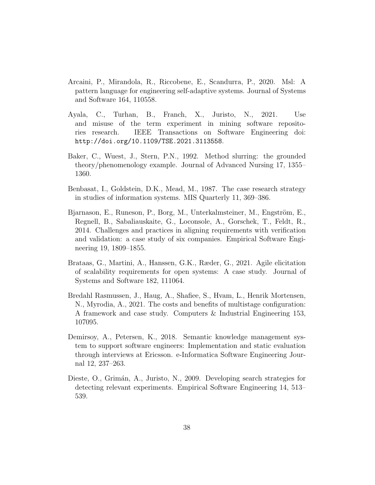- Arcaini, P., Mirandola, R., Riccobene, E., Scandurra, P., 2020. Msl: A pattern language for engineering self-adaptive systems. Journal of Systems and Software 164, 110558.
- Ayala, C., Turhan, B., Franch, X., Juristo, N., 2021. Use and misuse of the term experiment in mining software repositories research. IEEE Transactions on Software Engineering doi: http://doi.org/10.1109/TSE.2021.3113558.
- Baker, C., Wuest, J., Stern, P.N., 1992. Method slurring: the grounded theory/phenomenology example. Journal of Advanced Nursing 17, 1355– 1360.
- Benbasat, I., Goldstein, D.K., Mead, M., 1987. The case research strategy in studies of information systems. MIS Quarterly 11, 369–386.
- Bjarnason, E., Runeson, P., Borg, M., Unterkalmsteiner, M., Engström, E., Regnell, B., Sabaliauskaite, G., Loconsole, A., Gorschek, T., Feldt, R., 2014. Challenges and practices in aligning requirements with verification and validation: a case study of six companies. Empirical Software Engineering 19, 1809–1855.
- Brataas, G., Martini, A., Hanssen, G.K., Ræder, G., 2021. Agile elicitation of scalability requirements for open systems: A case study. Journal of Systems and Software 182, 111064.
- Bredahl Rasmussen, J., Haug, A., Shafiee, S., Hvam, L., Henrik Mortensen, N., Myrodia, A., 2021. The costs and benefits of multistage configuration: A framework and case study. Computers & Industrial Engineering 153, 107095.
- Demirsoy, A., Petersen, K., 2018. Semantic knowledge management system to support software engineers: Implementation and static evaluation through interviews at Ericsson. e-Informatica Software Engineering Journal 12, 237–263.
- Dieste, O., Grimán, A., Juristo, N., 2009. Developing search strategies for detecting relevant experiments. Empirical Software Engineering 14, 513– 539.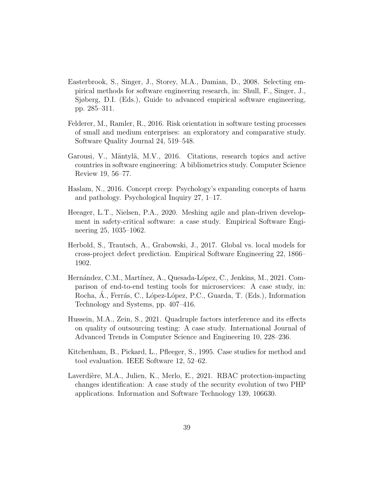- Easterbrook, S., Singer, J., Storey, M.A., Damian, D., 2008. Selecting empirical methods for software engineering research, in: Shull, F., Singer, J., Sjøberg, D.I. (Eds.), Guide to advanced empirical software engineering, pp. 285–311.
- Felderer, M., Ramler, R., 2016. Risk orientation in software testing processes of small and medium enterprises: an exploratory and comparative study. Software Quality Journal 24, 519–548.
- Garousi, V., Mäntylä, M.V., 2016. Citations, research topics and active countries in software engineering: A bibliometrics study. Computer Science Review 19, 56–77.
- Haslam, N., 2016. Concept creep: Psychology's expanding concepts of harm and pathology. Psychological Inquiry 27, 1–17.
- Heeager, L.T., Nielsen, P.A., 2020. Meshing agile and plan-driven development in safety-critical software: a case study. Empirical Software Engineering 25, 1035–1062.
- Herbold, S., Trautsch, A., Grabowski, J., 2017. Global vs. local models for cross-project defect prediction. Empirical Software Engineering 22, 1866– 1902.
- Hernández, C.M., Martínez, A., Quesada-López, C., Jenkins, M., 2021. Comparison of end-to-end testing tools for microservices: A case study, in: Rocha, A., Ferrás, C., López-López, P.C., Guarda, T. (Eds.), Information Technology and Systems, pp. 407–416.
- Hussein, M.A., Zein, S., 2021. Quadruple factors interference and its effects on quality of outsourcing testing: A case study. International Journal of Advanced Trends in Computer Science and Engineering 10, 228–236.
- Kitchenham, B., Pickard, L., Pfleeger, S., 1995. Case studies for method and tool evaluation. IEEE Software 12, 52–62.
- Laverdière, M.A., Julien, K., Merlo, E., 2021. RBAC protection-impacting changes identification: A case study of the security evolution of two PHP applications. Information and Software Technology 139, 106630.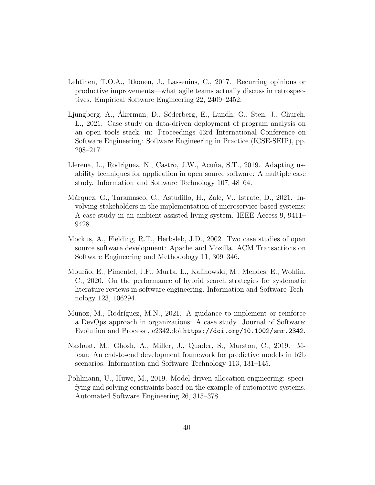- Lehtinen, T.O.A., Itkonen, J., Lassenius, C., 2017. Recurring opinions or productive improvements—what agile teams actually discuss in retrospectives. Empirical Software Engineering 22, 2409–2452.
- Ljungberg, A., Åkerman, D., Söderberg, E., Lundh, G., Sten, J., Church, L., 2021. Case study on data-driven deployment of program analysis on an open tools stack, in: Proceedings 43rd International Conference on Software Engineering: Software Engineering in Practice (ICSE-SEIP), pp. 208–217.
- Llerena, L., Rodriguez, N., Castro, J.W., Acuña, S.T., 2019. Adapting usability techniques for application in open source software: A multiple case study. Information and Software Technology 107, 48–64.
- Márquez, G., Taramasco, C., Astudillo, H., Zalc, V., Istrate, D., 2021. Involving stakeholders in the implementation of microservice-based systems: A case study in an ambient-assisted living system. IEEE Access 9, 9411– 9428.
- Mockus, A., Fielding, R.T., Herbsleb, J.D., 2002. Two case studies of open source software development: Apache and Mozilla. ACM Transactions on Software Engineering and Methodology 11, 309–346.
- Mour˜ao, E., Pimentel, J.F., Murta, L., Kalinowski, M., Mendes, E., Wohlin, C., 2020. On the performance of hybrid search strategies for systematic literature reviews in software engineering. Information and Software Technology 123, 106294.
- Muñoz, M., Rodríguez, M.N., 2021. A guidance to implement or reinforce a DevOps approach in organizations: A case study. Journal of Software: Evolution and Process , e2342,doi:https://doi.org/10.1002/smr.2342.
- Nashaat, M., Ghosh, A., Miller, J., Quader, S., Marston, C., 2019. Mlean: An end-to-end development framework for predictive models in b2b scenarios. Information and Software Technology 113, 131–145.
- Pohlmann, U., Hüwe, M., 2019. Model-driven allocation engineering: specifying and solving constraints based on the example of automotive systems. Automated Software Engineering 26, 315–378.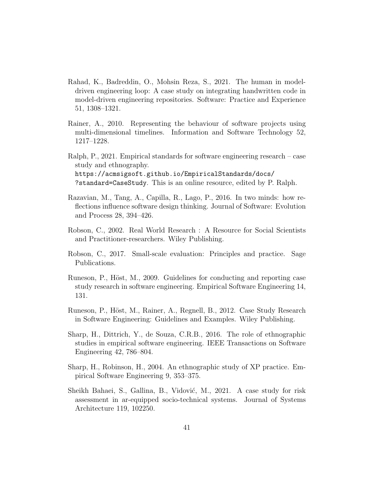- Rahad, K., Badreddin, O., Mohsin Reza, S., 2021. The human in modeldriven engineering loop: A case study on integrating handwritten code in model-driven engineering repositories. Software: Practice and Experience 51, 1308–1321.
- Rainer, A., 2010. Representing the behaviour of software projects using multi-dimensional timelines. Information and Software Technology 52, 1217–1228.
- Ralph, P., 2021. Empirical standards for software engineering research case study and ethnography. https://acmsigsoft.github.io/EmpiricalStandards/docs/ ?standard=CaseStudy. This is an online resource, edited by P. Ralph.
- Razavian, M., Tang, A., Capilla, R., Lago, P., 2016. In two minds: how reflections influence software design thinking. Journal of Software: Evolution and Process 28, 394–426.
- Robson, C., 2002. Real World Research : A Resource for Social Scientists and Practitioner-researchers. Wiley Publishing.
- Robson, C., 2017. Small-scale evaluation: Principles and practice. Sage Publications.
- Runeson, P., Höst, M., 2009. Guidelines for conducting and reporting case study research in software engineering. Empirical Software Engineering 14, 131.
- Runeson, P., Höst, M., Rainer, A., Regnell, B., 2012. Case Study Research in Software Engineering: Guidelines and Examples. Wiley Publishing.
- Sharp, H., Dittrich, Y., de Souza, C.R.B., 2016. The role of ethnographic studies in empirical software engineering. IEEE Transactions on Software Engineering 42, 786–804.
- Sharp, H., Robinson, H., 2004. An ethnographic study of XP practice. Empirical Software Engineering 9, 353–375.
- Sheikh Bahaei, S., Gallina, B., Vidović, M., 2021. A case study for risk assessment in ar-equipped socio-technical systems. Journal of Systems Architecture 119, 102250.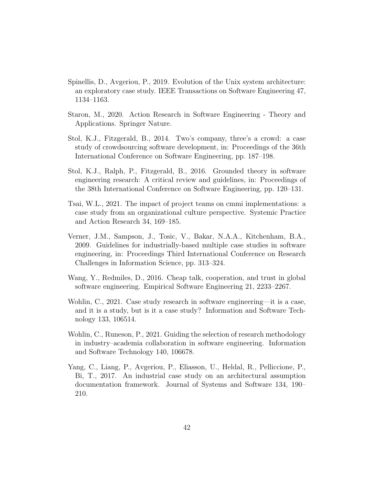- Spinellis, D., Avgeriou, P., 2019. Evolution of the Unix system architecture: an exploratory case study. IEEE Transactions on Software Engineering 47, 1134–1163.
- Staron, M., 2020. Action Research in Software Engineering Theory and Applications. Springer Nature.
- Stol, K.J., Fitzgerald, B., 2014. Two's company, three's a crowd: a case study of crowdsourcing software development, in: Proceedings of the 36th International Conference on Software Engineering, pp. 187–198.
- Stol, K.J., Ralph, P., Fitzgerald, B., 2016. Grounded theory in software engineering research: A critical review and guidelines, in: Proceedings of the 38th International Conference on Software Engineering, pp. 120–131.
- Tsai, W.L., 2021. The impact of project teams on cmmi implementations: a case study from an organizational culture perspective. Systemic Practice and Action Research 34, 169–185.
- Verner, J.M., Sampson, J., Tosic, V., Bakar, N.A.A., Kitchenham, B.A., 2009. Guidelines for industrially-based multiple case studies in software engineering, in: Proceedings Third International Conference on Research Challenges in Information Science, pp. 313–324.
- Wang, Y., Redmiles, D., 2016. Cheap talk, cooperation, and trust in global software engineering. Empirical Software Engineering 21, 2233–2267.
- Wohlin, C., 2021. Case study research in software engineering—it is a case, and it is a study, but is it a case study? Information and Software Technology 133, 106514.
- Wohlin, C., Runeson, P., 2021. Guiding the selection of research methodology in industry–academia collaboration in software engineering. Information and Software Technology 140, 106678.
- Yang, C., Liang, P., Avgeriou, P., Eliasson, U., Heldal, R., Pelliccione, P., Bi, T., 2017. An industrial case study on an architectural assumption documentation framework. Journal of Systems and Software 134, 190– 210.